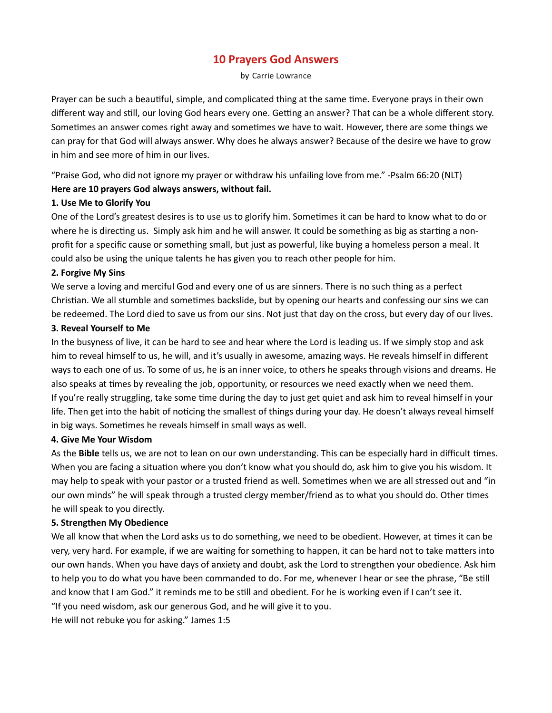# 10 Prayers God Answers

by Carrie Lowrance

Prayer can be such a beautiful, simple, and complicated thing at the same time. Everyone prays in their own different way and still, our loving God hears every one. Getting an answer? That can be a whole different story. Sometimes an answer comes right away and sometimes we have to wait. However, there are some things we can pray for that God will always answer. Why does he always answer? Because of the desire we have to grow in him and see more of him in our lives.

"Praise God, who did not ignore my prayer or withdraw his unfailing love from me." -Psalm 66:20 (NLT)

# Here are 10 prayers God always answers, without fail.

# 1. Use Me to Glorify You

One of the Lord's greatest desires is to use us to glorify him. Sometimes it can be hard to know what to do or where he is directing us. Simply ask him and he will answer. It could be something as big as starting a nonprofit for a specific cause or something small, but just as powerful, like buying a homeless person a meal. It could also be using the unique talents he has given you to reach other people for him.

# 2. Forgive My Sins

We serve a loving and merciful God and every one of us are sinners. There is no such thing as a perfect Christian. We all stumble and sometimes backslide, but by opening our hearts and confessing our sins we can be redeemed. The Lord died to save us from our sins. Not just that day on the cross, but every day of our lives.

# 3. Reveal Yourself to Me

In the busyness of live, it can be hard to see and hear where the Lord is leading us. If we simply stop and ask him to reveal himself to us, he will, and it's usually in awesome, amazing ways. He reveals himself in different ways to each one of us. To some of us, he is an inner voice, to others he speaks through visions and dreams. He also speaks at times by revealing the job, opportunity, or resources we need exactly when we need them. If you're really struggling, take some time during the day to just get quiet and ask him to reveal himself in your life. Then get into the habit of noticing the smallest of things during your day. He doesn't always reveal himself in big ways. Sometimes he reveals himself in small ways as well.

# 4. Give Me Your Wisdom

As the **Bible** tells us, we are not to lean on our own understanding. This can be especially hard in difficult times. When you are facing a situation where you don't know what you should do, ask him to give you his wisdom. It may help to speak with your pastor or a trusted friend as well. Sometimes when we are all stressed out and "in our own minds" he will speak through a trusted clergy member/friend as to what you should do. Other times he will speak to you directly.

# 5. Strengthen My Obedience

We all know that when the Lord asks us to do something, we need to be obedient. However, at times it can be very, very hard. For example, if we are waiting for something to happen, it can be hard not to take matters into our own hands. When you have days of anxiety and doubt, ask the Lord to strengthen your obedience. Ask him to help you to do what you have been commanded to do. For me, whenever I hear or see the phrase, "Be still and know that I am God." it reminds me to be still and obedient. For he is working even if I can't see it. "If you need wisdom, ask our generous God, and he will give it to you.

He will not rebuke you for asking." James 1:5